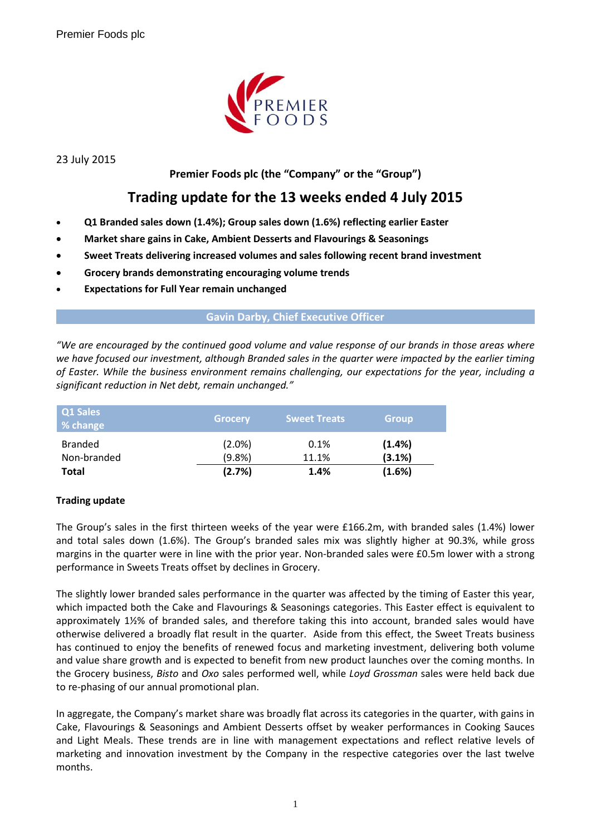

23 July 2015

## **Premier Foods plc (the "Company" or the "Group")**

# **Trading update for the 13 weeks ended 4 July 2015**

- **Q1 Branded sales down (1.4%); Group sales down (1.6%) reflecting earlier Easter**
- **Market share gains in Cake, Ambient Desserts and Flavourings & Seasonings**
- **Sweet Treats delivering increased volumes and sales following recent brand investment**
- **Grocery brands demonstrating encouraging volume trends**
- **Expectations for Full Year remain unchanged**

### **Gavin Darby, Chief Executive Officer**

*"We are encouraged by the continued good volume and value response of our brands in those areas where we have focused our investment, although Branded sales in the quarter were impacted by the earlier timing of Easter. While the business environment remains challenging, our expectations for the year, including a significant reduction in Net debt, remain unchanged."*

| Q1 Sales<br>% change          | <b>Grocery</b>         | <b>Sweet Treats</b> | <b>Group</b>     |  |
|-------------------------------|------------------------|---------------------|------------------|--|
| <b>Branded</b><br>Non-branded | $(2.0\%)$<br>$(9.8\%)$ | 0.1%<br>11.1%       | (1.4%)<br>(3.1%) |  |
| <b>Total</b>                  | (2.7%)                 | 1.4%                | (1.6%)           |  |

### **Trading update**

The Group's sales in the first thirteen weeks of the year were £166.2m, with branded sales (1.4%) lower and total sales down (1.6%). The Group's branded sales mix was slightly higher at 90.3%, while gross margins in the quarter were in line with the prior year. Non-branded sales were £0.5m lower with a strong performance in Sweets Treats offset by declines in Grocery.

The slightly lower branded sales performance in the quarter was affected by the timing of Easter this year, which impacted both the Cake and Flavourings & Seasonings categories. This Easter effect is equivalent to approximately 1½% of branded sales, and therefore taking this into account, branded sales would have otherwise delivered a broadly flat result in the quarter. Aside from this effect, the Sweet Treats business has continued to enjoy the benefits of renewed focus and marketing investment, delivering both volume and value share growth and is expected to benefit from new product launches over the coming months. In the Grocery business, *Bisto* and *Oxo* sales performed well, while *Loyd Grossman* sales were held back due to re-phasing of our annual promotional plan.

In aggregate, the Company's market share was broadly flat across its categories in the quarter, with gains in Cake, Flavourings & Seasonings and Ambient Desserts offset by weaker performances in Cooking Sauces and Light Meals. These trends are in line with management expectations and reflect relative levels of marketing and innovation investment by the Company in the respective categories over the last twelve months.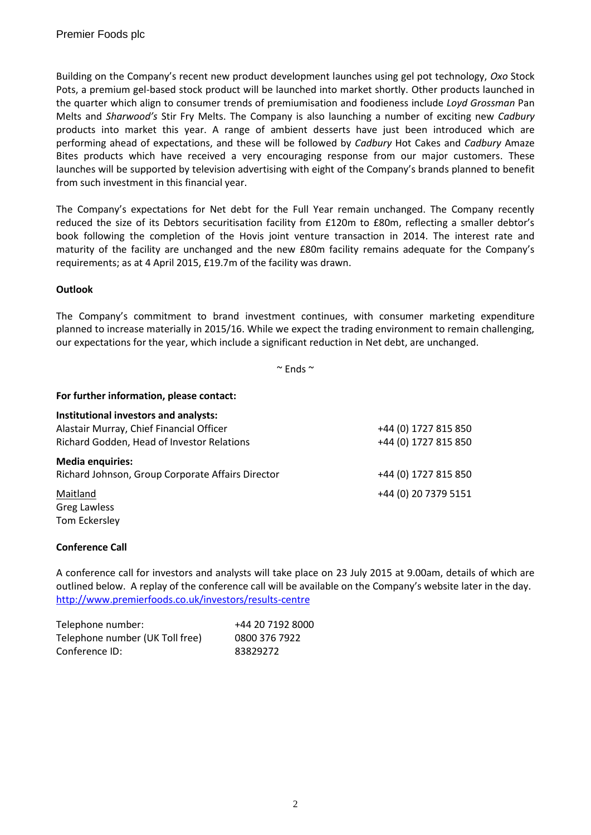Building on the Company's recent new product development launches using gel pot technology, *Oxo* Stock Pots, a premium gel-based stock product will be launched into market shortly. Other products launched in the quarter which align to consumer trends of premiumisation and foodieness include *Loyd Grossman* Pan Melts and *Sharwood's* Stir Fry Melts. The Company is also launching a number of exciting new *Cadbury* products into market this year. A range of ambient desserts have just been introduced which are performing ahead of expectations, and these will be followed by *Cadbury* Hot Cakes and *Cadbury* Amaze Bites products which have received a very encouraging response from our major customers. These launches will be supported by television advertising with eight of the Company's brands planned to benefit from such investment in this financial year.

The Company's expectations for Net debt for the Full Year remain unchanged. The Company recently reduced the size of its Debtors securitisation facility from £120m to £80m, reflecting a smaller debtor's book following the completion of the Hovis joint venture transaction in 2014. The interest rate and maturity of the facility are unchanged and the new £80m facility remains adequate for the Company's requirements; as at 4 April 2015, £19.7m of the facility was drawn.

### **Outlook**

The Company's commitment to brand investment continues, with consumer marketing expenditure planned to increase materially in 2015/16. While we expect the trading environment to remain challenging, our expectations for the year, which include a significant reduction in Net debt, are unchanged.

 $~\sim$  Fnds  $~\sim$ 

#### **For further information, please contact:**

| Institutional investors and analysts:             |                      |
|---------------------------------------------------|----------------------|
| Alastair Murray, Chief Financial Officer          | +44 (0) 1727 815 850 |
| Richard Godden, Head of Investor Relations        | +44 (0) 1727 815 850 |
| <b>Media enquiries:</b>                           |                      |
| Richard Johnson, Group Corporate Affairs Director | +44 (0) 1727 815 850 |
| Maitland                                          | +44 (0) 20 7379 5151 |
| Greg Lawless                                      |                      |
| Tom Eckersley                                     |                      |

### **Conference Call**

A conference call for investors and analysts will take place on 23 July 2015 at 9.00am, details of which are outlined below. A replay of the conference call will be available on the Company's website later in the day. <http://www.premierfoods.co.uk/investors/results-centre>

| Telephone number:               | +44 20 7192 8000 |
|---------------------------------|------------------|
| Telephone number (UK Toll free) | 0800 376 7922    |
| Conference ID:                  | 83829272         |